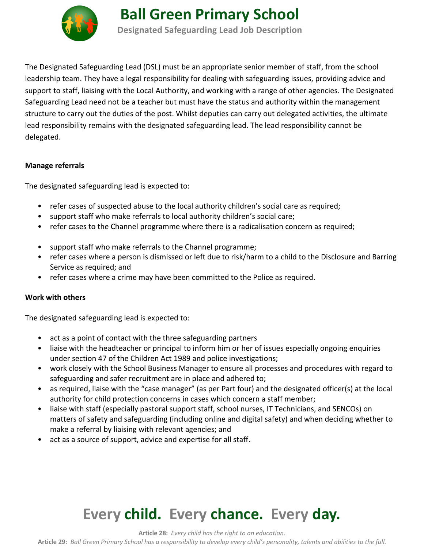

**Ball Green Primary School Designated Safeguarding Lead Job Description**

The Designated Safeguarding Lead (DSL) must be an appropriate senior member of staff, from the school leadership team. They have a legal responsibility for dealing with safeguarding issues, providing advice and support to staff, liaising with the Local Authority, and working with a range of other agencies. The Designated Safeguarding Lead need not be a teacher but must have the status and authority within the management structure to carry out the duties of the post. Whilst deputies can carry out delegated activities, the ultimate lead responsibility remains with the designated safeguarding lead. The lead responsibility cannot be delegated.

### **Manage referrals**

The designated safeguarding lead is expected to:

- refer cases of suspected abuse to the local authority children's social care as required;
- support staff who make referrals to local authority children's social care;
- refer cases to the Channel programme where there is a radicalisation concern as required;
- support staff who make referrals to the Channel programme;
- refer cases where a person is dismissed or left due to risk/harm to a child to the Disclosure and Barring Service as required; and
- refer cases where a crime may have been committed to the Police as required.

### **Work with others**

The designated safeguarding lead is expected to:

- act as a point of contact with the three safeguarding partners
- liaise with the headteacher or principal to inform him or her of issues especially ongoing enquiries under section 47 of the Children Act 1989 and police investigations;
- work closely with the School Business Manager to ensure all processes and procedures with regard to safeguarding and safer recruitment are in place and adhered to;
- as required, liaise with the "case manager" (as per Part four) and the designated officer(s) at the local authority for child protection concerns in cases which concern a staff member;
- liaise with staff (especially pastoral support staff, school nurses, IT Technicians, and SENCOs) on matters of safety and safeguarding (including online and digital safety) and when deciding whether to make a referral by liaising with relevant agencies; and
- act as a source of support, advice and expertise for all staff.

# **Every child. Every chance. Every day.**

**Article 28:** *Every child has the right to an education.*

**Article 29:** *Ball Green Primary School has a responsibility to develop every child's personality, talents and abilities to the full.*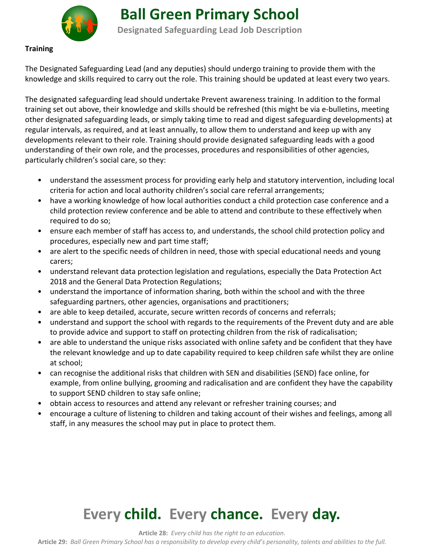

**Ball Green Primary School Designated Safeguarding Lead Job Description**

### **Training**

The Designated Safeguarding Lead (and any deputies) should undergo training to provide them with the knowledge and skills required to carry out the role. This training should be updated at least every two years.

The designated safeguarding lead should undertake Prevent awareness training. In addition to the formal training set out above, their knowledge and skills should be refreshed (this might be via e-bulletins, meeting other designated safeguarding leads, or simply taking time to read and digest safeguarding developments) at regular intervals, as required, and at least annually, to allow them to understand and keep up with any developments relevant to their role. Training should provide designated safeguarding leads with a good understanding of their own role, and the processes, procedures and responsibilities of other agencies, particularly children's social care, so they:

- understand the assessment process for providing early help and statutory intervention, including local criteria for action and local authority children's social care referral arrangements;
- have a working knowledge of how local authorities conduct a child protection case conference and a child protection review conference and be able to attend and contribute to these effectively when required to do so;
- ensure each member of staff has access to, and understands, the school child protection policy and procedures, especially new and part time staff;
- are alert to the specific needs of children in need, those with special educational needs and young carers;
- understand relevant data protection legislation and regulations, especially the Data Protection Act 2018 and the General Data Protection Regulations;
- understand the importance of information sharing, both within the school and with the three safeguarding partners, other agencies, organisations and practitioners;
- are able to keep detailed, accurate, secure written records of concerns and referrals;
- understand and support the school with regards to the requirements of the Prevent duty and are able to provide advice and support to staff on protecting children from the risk of radicalisation;
- are able to understand the unique risks associated with online safety and be confident that they have the relevant knowledge and up to date capability required to keep children safe whilst they are online at school;
- can recognise the additional risks that children with SEN and disabilities (SEND) face online, for example, from online bullying, grooming and radicalisation and are confident they have the capability to support SEND children to stay safe online;
- obtain access to resources and attend any relevant or refresher training courses; and
- encourage a culture of listening to children and taking account of their wishes and feelings, among all staff, in any measures the school may put in place to protect them.

# **Every child. Every chance. Every day.**

**Article 28:** *Every child has the right to an education.*

**Article 29:** *Ball Green Primary School has a responsibility to develop every child's personality, talents and abilities to the full.*